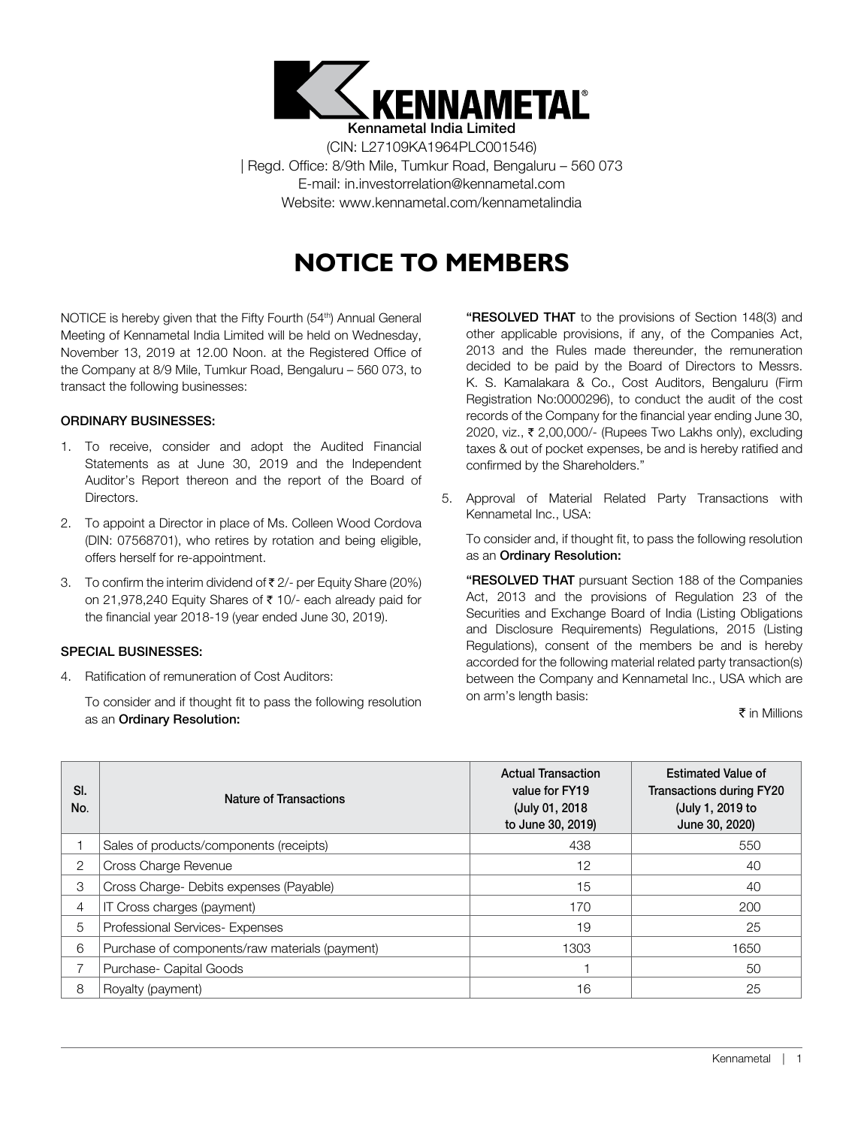

(CIN: L27109KA1964PLC001546) | Regd. Office: 8/9th Mile, Tumkur Road, Bengaluru – 560 073 E-mail: in.investorrelation@kennametal.com Website: www.kennametal.com/kennametalindia

# **NOTICE TO MEMBERS**

NOTICE is hereby given that the Fifty Fourth (54<sup>th</sup>) Annual General Meeting of Kennametal India Limited will be held on Wednesday, November 13, 2019 at 12.00 Noon. at the Registered Office of the Company at 8/9 Mile, Tumkur Road, Bengaluru – 560 073, to transact the following businesses:

## ORDINARY BUSINESSES:

- 1. To receive, consider and adopt the Audited Financial Statements as at June 30, 2019 and the Independent Auditor's Report thereon and the report of the Board of Directors.
- 2. To appoint a Director in place of Ms. Colleen Wood Cordova (DIN: 07568701), who retires by rotation and being eligible, offers herself for re-appointment.
- 3. To confirm the interim dividend of  $\bar{\tau}$  2/- per Equity Share (20%) on 21,978,240 Equity Shares of  $\bar{\tau}$  10/- each already paid for the financial year 2018-19 (year ended June 30, 2019).

## SPECIAL BUSINESSES:

4. Ratification of remuneration of Cost Auditors:

To consider and if thought fit to pass the following resolution as an Ordinary Resolution:

"RESOLVED THAT to the provisions of Section 148(3) and other applicable provisions, if any, of the Companies Act, 2013 and the Rules made thereunder, the remuneration decided to be paid by the Board of Directors to Messrs. K. S. Kamalakara & Co., Cost Auditors, Bengaluru (Firm Registration No:0000296), to conduct the audit of the cost records of the Company for the financial year ending June 30, 2020, viz., ₹ 2,00,000/- (Rupees Two Lakhs only), excluding taxes & out of pocket expenses, be and is hereby ratified and confirmed by the Shareholders."

5. Approval of Material Related Party Transactions with Kennametal Inc., USA:

To consider and, if thought fit, to pass the following resolution as an Ordinary Resolution:

"RESOLVED THAT pursuant Section 188 of the Companies Act, 2013 and the provisions of Regulation 23 of the Securities and Exchange Board of India (Listing Obligations and Disclosure Requirements) Regulations, 2015 (Listing Regulations), consent of the members be and is hereby accorded for the following material related party transaction(s) between the Company and Kennametal Inc., USA which are on arm's length basis:

#### $\bar{\tau}$  in Millions

| SI.<br>No. | Nature of Transactions                         | <b>Actual Transaction</b><br>value for FY19<br>(July 01, 2018)<br>to June 30, 2019) | <b>Estimated Value of</b><br><b>Transactions during FY20</b><br>(July 1, 2019 to<br>June 30, 2020) |
|------------|------------------------------------------------|-------------------------------------------------------------------------------------|----------------------------------------------------------------------------------------------------|
|            | Sales of products/components (receipts)        | 438                                                                                 | 550                                                                                                |
| 2          | Cross Charge Revenue                           | 12                                                                                  | 40                                                                                                 |
| 3          | Cross Charge- Debits expenses (Payable)        | 15                                                                                  | 40                                                                                                 |
| 4          | IT Cross charges (payment)                     | 170                                                                                 | 200                                                                                                |
| 5          | Professional Services- Expenses                | 19                                                                                  | 25                                                                                                 |
| 6          | Purchase of components/raw materials (payment) | 1303                                                                                | 1650                                                                                               |
|            | Purchase- Capital Goods                        |                                                                                     | 50                                                                                                 |
| 8          | Royalty (payment)                              | 16                                                                                  | 25                                                                                                 |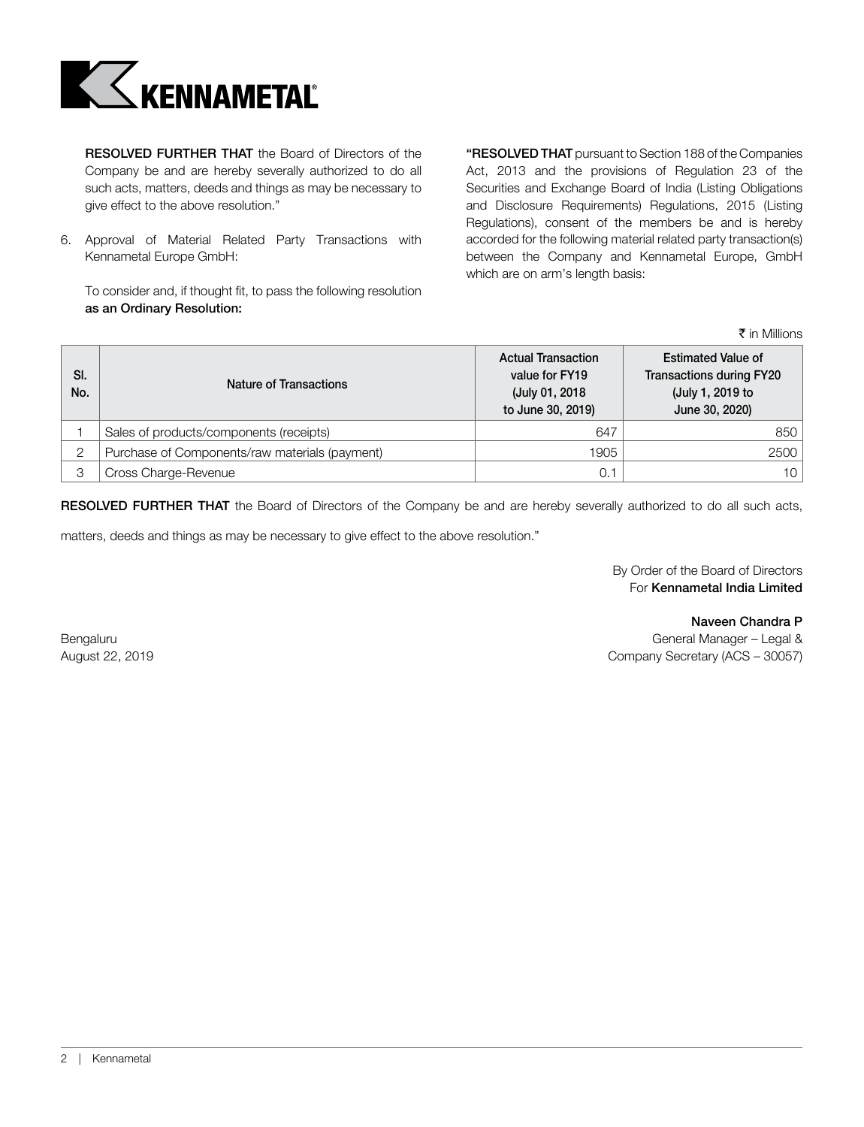

RESOLVED FURTHER THAT the Board of Directors of the Company be and are hereby severally authorized to do all such acts, matters, deeds and things as may be necessary to give effect to the above resolution."

6. Approval of Material Related Party Transactions with Kennametal Europe GmbH:

To consider and, if thought fit, to pass the following resolution as an Ordinary Resolution:

"RESOLVED THAT pursuant to Section 188 of the Companies Act, 2013 and the provisions of Regulation 23 of the Securities and Exchange Board of India (Listing Obligations and Disclosure Requirements) Regulations, 2015 (Listing Regulations), consent of the members be and is hereby accorded for the following material related party transaction(s) between the Company and Kennametal Europe, GmbH which are on arm's length basis:

 $\bar{\tau}$  in Millions

| SI.<br>No. | Nature of Transactions                         | <b>Actual Transaction</b><br>value for FY19<br>(July 01, 2018)<br>to June 30, 2019) | <b>Estimated Value of</b><br><b>Transactions during FY20</b><br>(July 1, 2019 to<br>June 30, 2020) |
|------------|------------------------------------------------|-------------------------------------------------------------------------------------|----------------------------------------------------------------------------------------------------|
|            | Sales of products/components (receipts)        | 647                                                                                 | 850                                                                                                |
| っ          | Purchase of Components/raw materials (payment) | 1905                                                                                | 2500                                                                                               |
| 3          | Cross Charge-Revenue                           | 0.7                                                                                 | 10                                                                                                 |

RESOLVED FURTHER THAT the Board of Directors of the Company be and are hereby severally authorized to do all such acts,

matters, deeds and things as may be necessary to give effect to the above resolution."

 By Order of the Board of Directors For Kennametal India Limited

 Naveen Chandra P Bengaluru General Manager – Legal & Contract Contract Contract Contract Contract Contract Contract Contract Contract Contract Contract Contract Contract Contract Contract Contract Contract Contract Contract Contract Contra August 22, 2019 Company Secretary (ACS – 30057)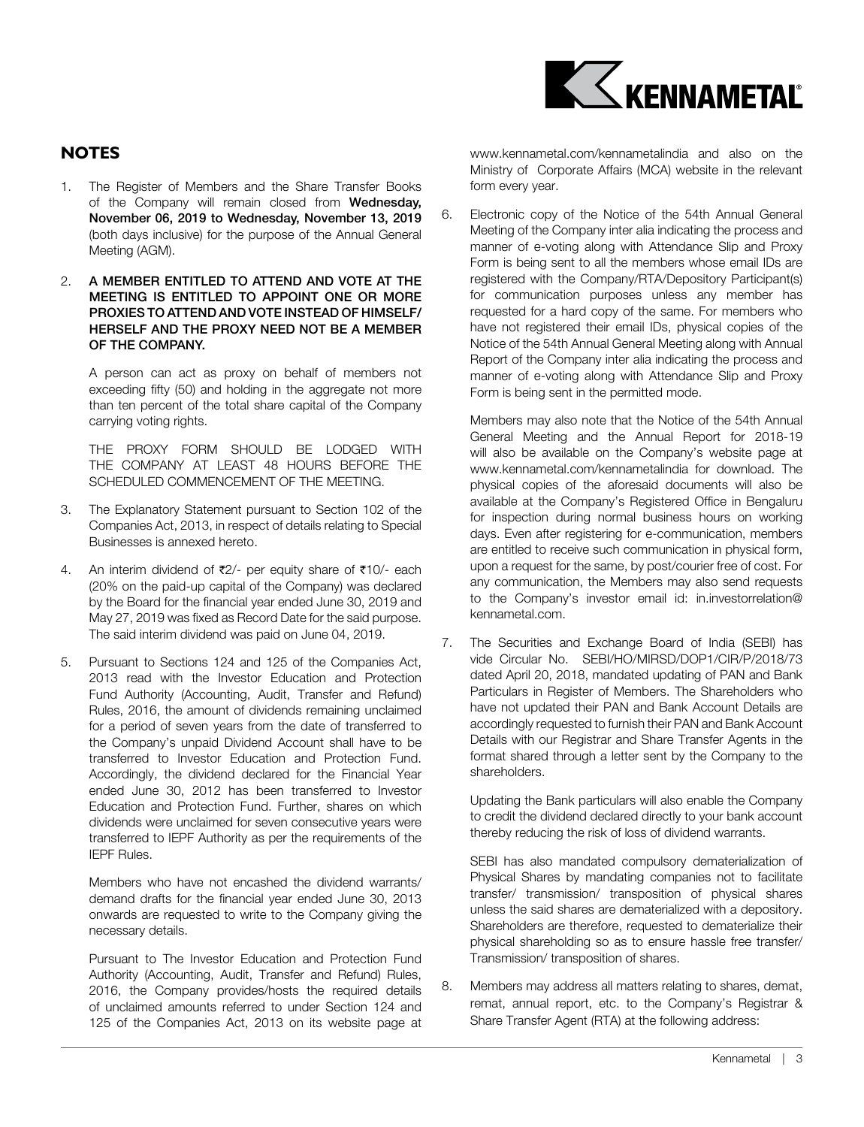

# **NOTES**

- 1. The Register of Members and the Share Transfer Books of the Company will remain closed from Wednesday, November 06, 2019 to Wednesday, November 13, 2019 (both days inclusive) for the purpose of the Annual General Meeting (AGM).
- 2. A MEMBER ENTITLED TO ATTEND AND VOTE AT THE MEETING IS ENTITLED TO APPOINT ONE OR MORE PROXIES TO ATTEND AND VOTE INSTEAD OF HIMSELF/ HERSELF AND THE PROXY NEED NOT BE A MEMBER OF THE COMPANY.

A person can act as proxy on behalf of members not exceeding fifty (50) and holding in the aggregate not more than ten percent of the total share capital of the Company carrying voting rights.

THE PROXY FORM SHOULD BE LODGED WITH THE COMPANY AT LEAST 48 HOURS BEFORE THE SCHEDULED COMMENCEMENT OF THE MEETING.

- 3. The Explanatory Statement pursuant to Section 102 of the Companies Act, 2013, in respect of details relating to Special Businesses is annexed hereto.
- 4. An interim dividend of  $\overline{\tau}2$ /- per equity share of  $\overline{\tau}10$ /- each (20% on the paid-up capital of the Company) was declared by the Board for the financial year ended June 30, 2019 and May 27, 2019 was fixed as Record Date for the said purpose. The said interim dividend was paid on June 04, 2019.
- 5. Pursuant to Sections 124 and 125 of the Companies Act, 2013 read with the Investor Education and Protection Fund Authority (Accounting, Audit, Transfer and Refund) Rules, 2016, the amount of dividends remaining unclaimed for a period of seven years from the date of transferred to the Company's unpaid Dividend Account shall have to be transferred to Investor Education and Protection Fund. Accordingly, the dividend declared for the Financial Year ended June 30, 2012 has been transferred to Investor Education and Protection Fund. Further, shares on which dividends were unclaimed for seven consecutive years were transferred to IEPF Authority as per the requirements of the IEPF Rules.

Members who have not encashed the dividend warrants/ demand drafts for the financial year ended June 30, 2013 onwards are requested to write to the Company giving the necessary details.

Pursuant to The Investor Education and Protection Fund Authority (Accounting, Audit, Transfer and Refund) Rules, 2016, the Company provides/hosts the required details of unclaimed amounts referred to under Section 124 and 125 of the Companies Act, 2013 on its website page at www.kennametal.com/kennametalindia and also on the Ministry of Corporate Affairs (MCA) website in the relevant form every year.

6. Electronic copy of the Notice of the 54th Annual General Meeting of the Company inter alia indicating the process and manner of e-voting along with Attendance Slip and Proxy Form is being sent to all the members whose email IDs are registered with the Company/RTA/Depository Participant(s) for communication purposes unless any member has requested for a hard copy of the same. For members who have not registered their email IDs, physical copies of the Notice of the 54th Annual General Meeting along with Annual Report of the Company inter alia indicating the process and manner of e-voting along with Attendance Slip and Proxy Form is being sent in the permitted mode.

Members may also note that the Notice of the 54th Annual General Meeting and the Annual Report for 2018-19 will also be available on the Company's website page at www.kennametal.com/kennametalindia for download. The physical copies of the aforesaid documents will also be available at the Company's Registered Office in Bengaluru for inspection during normal business hours on working days. Even after registering for e-communication, members are entitled to receive such communication in physical form, upon a request for the same, by post/courier free of cost. For any communication, the Members may also send requests to the Company's investor email id: in.investorrelation@ kennametal.com.

7. The Securities and Exchange Board of India (SEBI) has vide Circular No. SEBI/HO/MIRSD/DOP1/CIR/P/2018/73 dated April 20, 2018, mandated updating of PAN and Bank Particulars in Register of Members. The Shareholders who have not updated their PAN and Bank Account Details are accordingly requested to furnish their PAN and Bank Account Details with our Registrar and Share Transfer Agents in the format shared through a letter sent by the Company to the shareholders.

Updating the Bank particulars will also enable the Company to credit the dividend declared directly to your bank account thereby reducing the risk of loss of dividend warrants.

SEBI has also mandated compulsory dematerialization of Physical Shares by mandating companies not to facilitate transfer/ transmission/ transposition of physical shares unless the said shares are dematerialized with a depository. Shareholders are therefore, requested to dematerialize their physical shareholding so as to ensure hassle free transfer/ Transmission/ transposition of shares.

8. Members may address all matters relating to shares, demat, remat, annual report, etc. to the Company's Registrar & Share Transfer Agent (RTA) at the following address: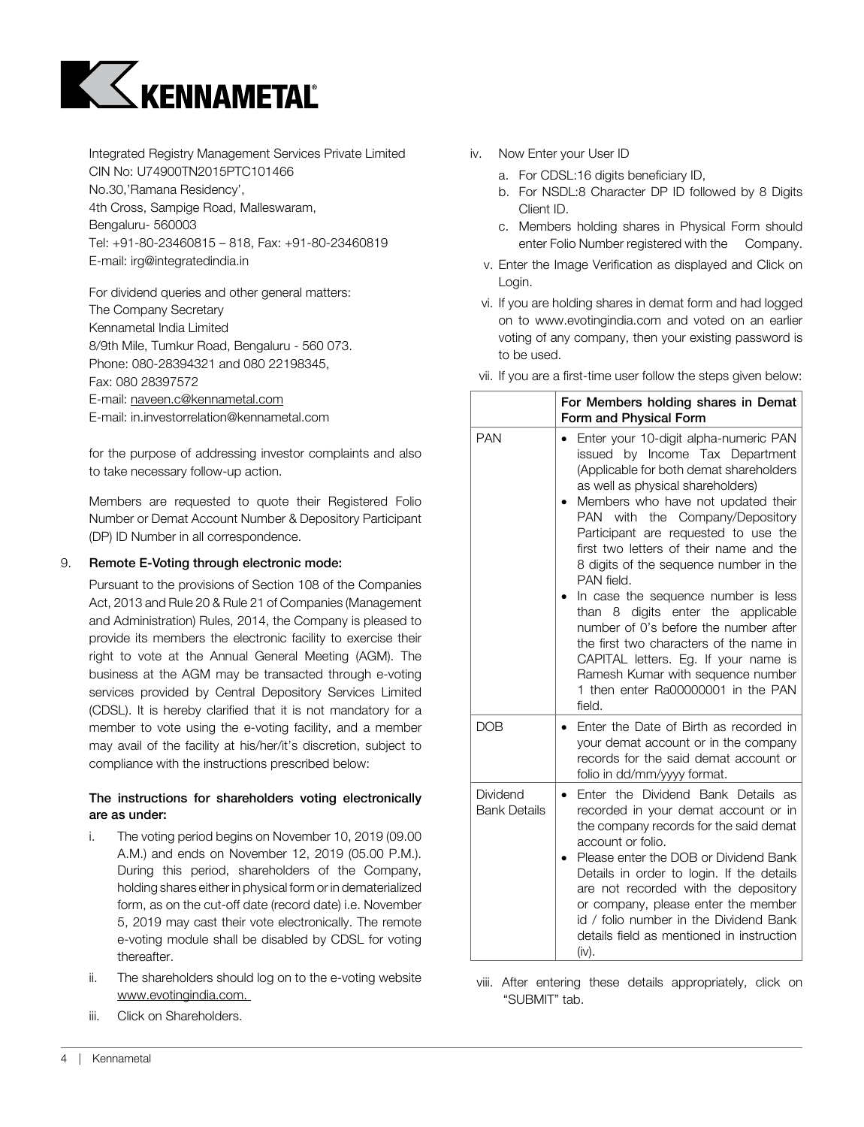

Integrated Registry Management Services Private Limited CIN No: U74900TN2015PTC101466 No.30,'Ramana Residency', 4th Cross, Sampige Road, Malleswaram, Bengaluru- 560003 Tel: +91-80-23460815 – 818, Fax: +91-80-23460819 E-mail: irg@integratedindia.in

For dividend queries and other general matters: The Company Secretary Kennametal India Limited 8/9th Mile, Tumkur Road, Bengaluru - 560 073. Phone: 080-28394321 and 080 22198345, Fax: 080 28397572 E-mail: naveen.c@kennametal.com E-mail: in.investorrelation@kennametal.com

for the purpose of addressing investor complaints and also to take necessary follow-up action.

Members are requested to quote their Registered Folio Number or Demat Account Number & Depository Participant (DP) ID Number in all correspondence.

## 9. Remote E-Voting through electronic mode:

Pursuant to the provisions of Section 108 of the Companies Act, 2013 and Rule 20 & Rule 21 of Companies (Management and Administration) Rules, 2014, the Company is pleased to provide its members the electronic facility to exercise their right to vote at the Annual General Meeting (AGM). The business at the AGM may be transacted through e-voting services provided by Central Depository Services Limited (CDSL). It is hereby clarified that it is not mandatory for a member to vote using the e-voting facility, and a member may avail of the facility at his/her/it's discretion, subject to compliance with the instructions prescribed below:

## The instructions for shareholders voting electronically are as under:

- i. The voting period begins on November 10, 2019 (09.00 A.M.) and ends on November 12, 2019 (05.00 P.M.). During this period, shareholders of the Company, holding shares either in physical form or in dematerialized form, as on the cut-off date (record date) i.e. November 5, 2019 may cast their vote electronically. The remote e-voting module shall be disabled by CDSL for voting thereafter.
- ii. The shareholders should log on to the e-voting website www.evotingindia.com.
- iii. Click on Shareholders.
- iv. Now Enter your User ID
	- a. For CDSL:16 digits beneficiary ID,
	- b. For NSDL:8 Character DP ID followed by 8 Digits Client ID.
	- c. Members holding shares in Physical Form should enter Folio Number registered with the Company.
	- v. Enter the Image Verification as displayed and Click on Login.
	- vi. If you are holding shares in demat form and had logged on to www.evotingindia.com and voted on an earlier voting of any company, then your existing password is to be used.
- vii. If you are a first-time user follow the steps given below:

|                                 | For Members holding shares in Demat<br>Form and Physical Form                                                                                                                                                                                                                                                                                                                                                                                                                                                                                                                                                                                                                           |
|---------------------------------|-----------------------------------------------------------------------------------------------------------------------------------------------------------------------------------------------------------------------------------------------------------------------------------------------------------------------------------------------------------------------------------------------------------------------------------------------------------------------------------------------------------------------------------------------------------------------------------------------------------------------------------------------------------------------------------------|
| <b>PAN</b>                      | Enter your 10-digit alpha-numeric PAN<br>$\bullet$<br>issued by Income Tax Department<br>(Applicable for both demat shareholders<br>as well as physical shareholders)<br>Members who have not updated their<br>PAN with the Company/Depository<br>Participant are requested to use the<br>first two letters of their name and the<br>8 digits of the sequence number in the<br>PAN field.<br>In case the sequence number is less<br>than 8 digits enter the applicable<br>number of 0's before the number after<br>the first two characters of the name in<br>CAPITAL letters. Eg. If your name is<br>Ramesh Kumar with sequence number<br>1 then enter Ra00000001 in the PAN<br>field. |
| <b>DOB</b>                      | Enter the Date of Birth as recorded in<br>$\bullet$<br>your demat account or in the company<br>records for the said demat account or<br>folio in dd/mm/yyyy format.                                                                                                                                                                                                                                                                                                                                                                                                                                                                                                                     |
| Dividend<br><b>Bank Details</b> | Enter the Dividend Bank Details as<br>$\bullet$<br>recorded in your demat account or in<br>the company records for the said demat<br>account or folio.<br>Please enter the DOB or Dividend Bank<br>Details in order to login. If the details<br>are not recorded with the depository<br>or company, please enter the member<br>id / folio number in the Dividend Bank<br>details field as mentioned in instruction<br>(iv).                                                                                                                                                                                                                                                             |

viii. After entering these details appropriately, click on "SUBMIT" tab.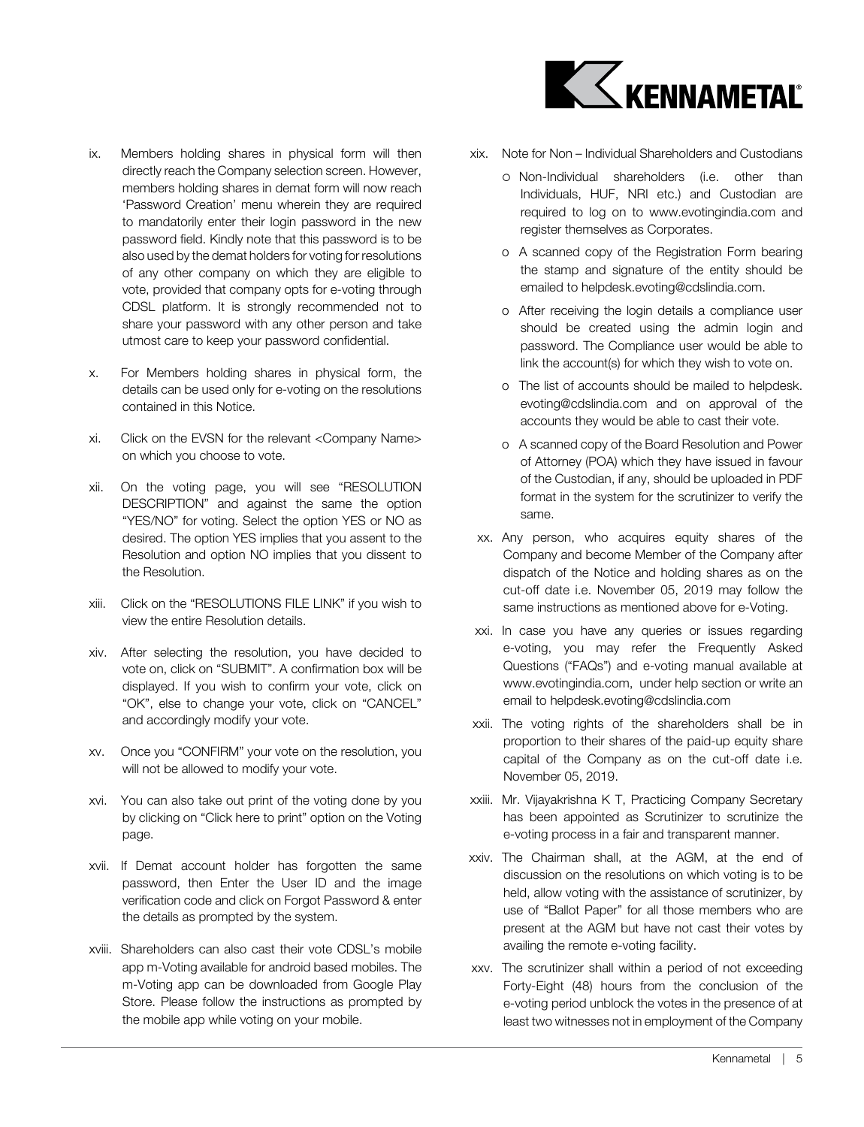

- ix. Members holding shares in physical form will then directly reach the Company selection screen. However, members holding shares in demat form will now reach 'Password Creation' menu wherein they are required to mandatorily enter their login password in the new password field. Kindly note that this password is to be also used by the demat holders for voting for resolutions of any other company on which they are eligible to vote, provided that company opts for e-voting through CDSL platform. It is strongly recommended not to share your password with any other person and take utmost care to keep your password confidential.
- x. For Members holding shares in physical form, the details can be used only for e-voting on the resolutions contained in this Notice.
- xi. Click on the EVSN for the relevant <Company Name> on which you choose to vote.
- xii. On the voting page, you will see "RESOLUTION DESCRIPTION" and against the same the option "YES/NO" for voting. Select the option YES or NO as desired. The option YES implies that you assent to the Resolution and option NO implies that you dissent to the Resolution.
- xiii. Click on the "RESOLUTIONS FILE LINK" if you wish to view the entire Resolution details.
- xiv. After selecting the resolution, you have decided to vote on, click on "SUBMIT". A confirmation box will be displayed. If you wish to confirm your vote, click on "OK", else to change your vote, click on "CANCEL" and accordingly modify your vote.
- xv. Once you "CONFIRM" your vote on the resolution, you will not be allowed to modify your vote.
- xvi. You can also take out print of the voting done by you by clicking on "Click here to print" option on the Voting page.
- xvii. If Demat account holder has forgotten the same password, then Enter the User ID and the image verification code and click on Forgot Password & enter the details as prompted by the system.
- xviii. Shareholders can also cast their vote CDSL's mobile app m-Voting available for android based mobiles. The m-Voting app can be downloaded from Google Play Store. Please follow the instructions as prompted by the mobile app while voting on your mobile.
- xix. Note for Non Individual Shareholders and Custodians
	- Non-Individual shareholders (i.e. other than Individuals, HUF, NRI etc.) and Custodian are required to log on to www.evotingindia.com and register themselves as Corporates.
	- o A scanned copy of the Registration Form bearing the stamp and signature of the entity should be emailed to helpdesk.evoting@cdslindia.com.
	- o After receiving the login details a compliance user should be created using the admin login and password. The Compliance user would be able to link the account(s) for which they wish to vote on.
	- o The list of accounts should be mailed to helpdesk. evoting@cdslindia.com and on approval of the accounts they would be able to cast their vote.
	- o A scanned copy of the Board Resolution and Power of Attorney (POA) which they have issued in favour of the Custodian, if any, should be uploaded in PDF format in the system for the scrutinizer to verify the same.
- xx. Any person, who acquires equity shares of the Company and become Member of the Company after dispatch of the Notice and holding shares as on the cut-off date i.e. November 05, 2019 may follow the same instructions as mentioned above for e-Voting.
- xxi. In case you have any queries or issues regarding e-voting, you may refer the Frequently Asked Questions ("FAQs") and e-voting manual available at www.evotingindia.com, under help section or write an email to helpdesk.evoting@cdslindia.com
- xxii. The voting rights of the shareholders shall be in proportion to their shares of the paid-up equity share capital of the Company as on the cut-off date i.e. November 05, 2019.
- xxiii. Mr. Vijayakrishna K T, Practicing Company Secretary has been appointed as Scrutinizer to scrutinize the e-voting process in a fair and transparent manner.
- xxiv. The Chairman shall, at the AGM, at the end of discussion on the resolutions on which voting is to be held, allow voting with the assistance of scrutinizer, by use of "Ballot Paper" for all those members who are present at the AGM but have not cast their votes by availing the remote e-voting facility.
- xxv. The scrutinizer shall within a period of not exceeding Forty-Eight (48) hours from the conclusion of the e-voting period unblock the votes in the presence of at least two witnesses not in employment of the Company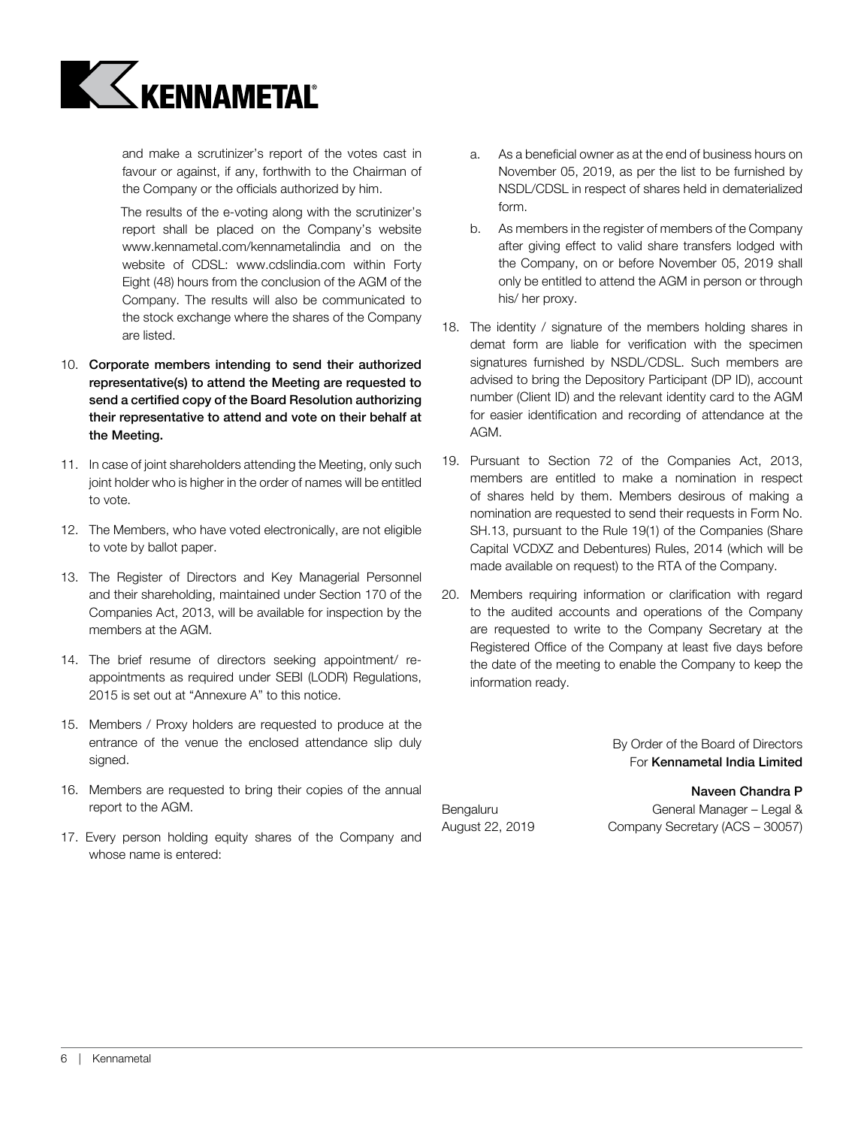

and make a scrutinizer's report of the votes cast in favour or against, if any, forthwith to the Chairman of the Company or the officials authorized by him.

The results of the e-voting along with the scrutinizer's report shall be placed on the Company's website www.kennametal.com/kennametalindia and on the website of CDSL: www.cdslindia.com within Forty Eight (48) hours from the conclusion of the AGM of the Company. The results will also be communicated to the stock exchange where the shares of the Company are listed.

- 10. Corporate members intending to send their authorized representative(s) to attend the Meeting are requested to send a certified copy of the Board Resolution authorizing their representative to attend and vote on their behalf at the Meeting.
- 11. In case of joint shareholders attending the Meeting, only such joint holder who is higher in the order of names will be entitled to vote.
- 12. The Members, who have voted electronically, are not eligible to vote by ballot paper.
- 13. The Register of Directors and Key Managerial Personnel and their shareholding, maintained under Section 170 of the Companies Act, 2013, will be available for inspection by the members at the AGM.
- 14. The brief resume of directors seeking appointment/ reappointments as required under SEBI (LODR) Regulations, 2015 is set out at "Annexure A" to this notice.
- 15. Members / Proxy holders are requested to produce at the entrance of the venue the enclosed attendance slip duly signed.
- 16. Members are requested to bring their copies of the annual report to the AGM.
- 17. Every person holding equity shares of the Company and whose name is entered:
- a. As a beneficial owner as at the end of business hours on November 05, 2019, as per the list to be furnished by NSDL/CDSL in respect of shares held in dematerialized form.
- b. As members in the register of members of the Company after giving effect to valid share transfers lodged with the Company, on or before November 05, 2019 shall only be entitled to attend the AGM in person or through his/ her proxy.
- 18. The identity / signature of the members holding shares in demat form are liable for verification with the specimen signatures furnished by NSDL/CDSL. Such members are advised to bring the Depository Participant (DP ID), account number (Client ID) and the relevant identity card to the AGM for easier identification and recording of attendance at the AGM.
- 19. Pursuant to Section 72 of the Companies Act, 2013, members are entitled to make a nomination in respect of shares held by them. Members desirous of making a nomination are requested to send their requests in Form No. SH.13, pursuant to the Rule 19(1) of the Companies (Share Capital VCDXZ and Debentures) Rules, 2014 (which will be made available on request) to the RTA of the Company.
- 20. Members requiring information or clarification with regard to the audited accounts and operations of the Company are requested to write to the Company Secretary at the Registered Office of the Company at least five days before the date of the meeting to enable the Company to keep the information ready.

 By Order of the Board of Directors For Kennametal India Limited

#### Naveen Chandra P

Bengaluru General Manager – Legal & August 22, 2019 Company Secretary (ACS – 30057)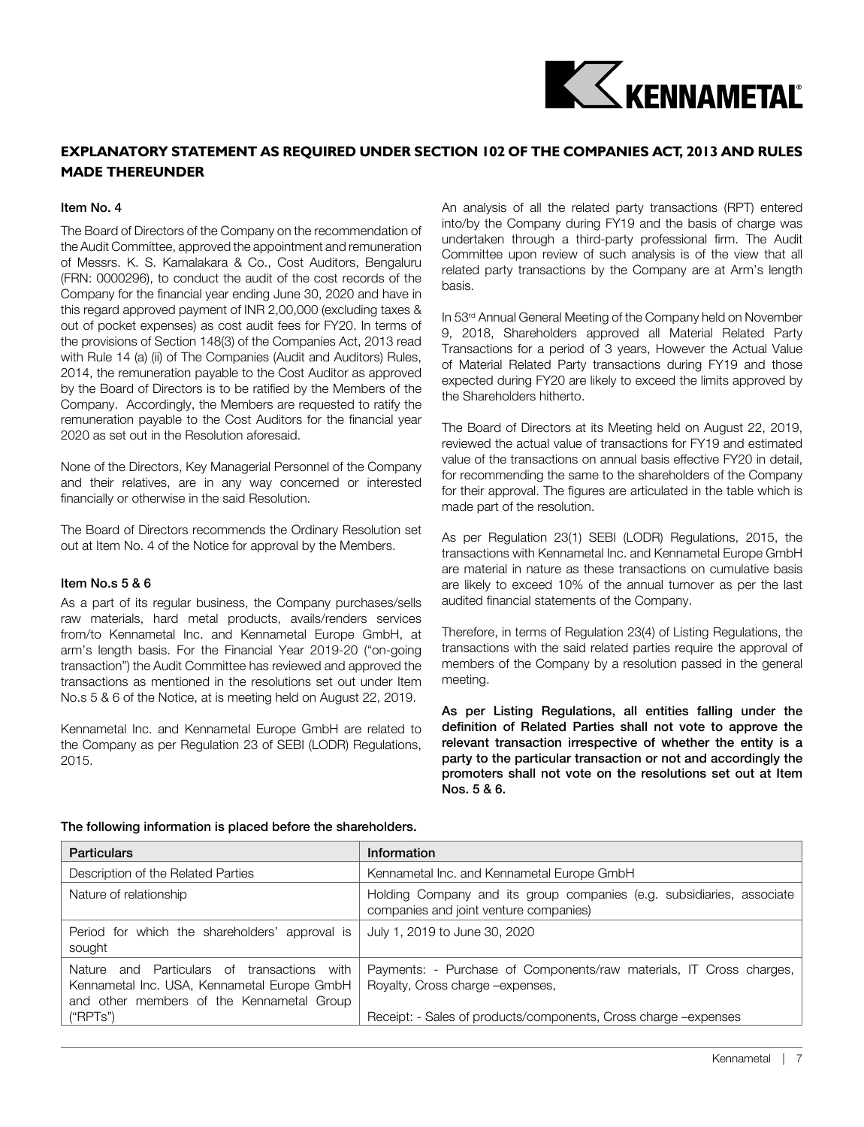

# **Explanatory Statement as required under Section 102 of the Companies Act, 2013 and Rules made thereunder**

#### Item No. 4

The Board of Directors of the Company on the recommendation of the Audit Committee, approved the appointment and remuneration of Messrs. K. S. Kamalakara & Co., Cost Auditors, Bengaluru (FRN: 0000296), to conduct the audit of the cost records of the Company for the financial year ending June 30, 2020 and have in this regard approved payment of INR 2,00,000 (excluding taxes & out of pocket expenses) as cost audit fees for FY20. In terms of the provisions of Section 148(3) of the Companies Act, 2013 read with Rule 14 (a) (ii) of The Companies (Audit and Auditors) Rules, 2014, the remuneration payable to the Cost Auditor as approved by the Board of Directors is to be ratified by the Members of the Company. Accordingly, the Members are requested to ratify the remuneration payable to the Cost Auditors for the financial year 2020 as set out in the Resolution aforesaid.

None of the Directors, Key Managerial Personnel of the Company and their relatives, are in any way concerned or interested financially or otherwise in the said Resolution.

The Board of Directors recommends the Ordinary Resolution set out at Item No. 4 of the Notice for approval by the Members.

## Item No.s 5 & 6

As a part of its regular business, the Company purchases/sells raw materials, hard metal products, avails/renders services from/to Kennametal Inc. and Kennametal Europe GmbH, at arm's length basis. For the Financial Year 2019-20 ("on-going transaction") the Audit Committee has reviewed and approved the transactions as mentioned in the resolutions set out under Item No.s 5 & 6 of the Notice, at is meeting held on August 22, 2019.

Kennametal Inc. and Kennametal Europe GmbH are related to the Company as per Regulation 23 of SEBI (LODR) Regulations, 2015.

An analysis of all the related party transactions (RPT) entered into/by the Company during FY19 and the basis of charge was undertaken through a third-party professional firm. The Audit Committee upon review of such analysis is of the view that all related party transactions by the Company are at Arm's length basis.

In 53<sup>rd</sup> Annual General Meeting of the Company held on November 9, 2018, Shareholders approved all Material Related Party Transactions for a period of 3 years, However the Actual Value of Material Related Party transactions during FY19 and those expected during FY20 are likely to exceed the limits approved by the Shareholders hitherto.

The Board of Directors at its Meeting held on August 22, 2019, reviewed the actual value of transactions for FY19 and estimated value of the transactions on annual basis effective FY20 in detail, for recommending the same to the shareholders of the Company for their approval. The figures are articulated in the table which is made part of the resolution.

As per Regulation 23(1) SEBI (LODR) Regulations, 2015, the transactions with Kennametal Inc. and Kennametal Europe GmbH are material in nature as these transactions on cumulative basis are likely to exceed 10% of the annual turnover as per the last audited financial statements of the Company.

Therefore, in terms of Regulation 23(4) of Listing Regulations, the transactions with the said related parties require the approval of members of the Company by a resolution passed in the general meeting.

As per Listing Regulations, all entities falling under the definition of Related Parties shall not vote to approve the relevant transaction irrespective of whether the entity is a party to the particular transaction or not and accordingly the promoters shall not vote on the resolutions set out at Item Nos. 5 & 6.

| <b>Particulars</b>                                                                                                                         | Information                                                                                                     |
|--------------------------------------------------------------------------------------------------------------------------------------------|-----------------------------------------------------------------------------------------------------------------|
| Description of the Related Parties                                                                                                         | Kennametal Inc. and Kennametal Europe GmbH                                                                      |
| Nature of relationship                                                                                                                     | Holding Company and its group companies (e.g. subsidiaries, associate<br>companies and joint venture companies) |
| Period for which the shareholders' approval is<br>sought                                                                                   | July 1, 2019 to June 30, 2020                                                                                   |
| Nature<br>and Particulars of transactions with<br>Kennametal Inc. USA, Kennametal Europe GmbH<br>and other members of the Kennametal Group | Payments: - Purchase of Components/raw materials, IT Cross charges,<br>Royalty, Cross charge -expenses,         |
| ("RPTs")                                                                                                                                   | Receipt: - Sales of products/components, Cross charge -expenses                                                 |

#### The following information is placed before the shareholders.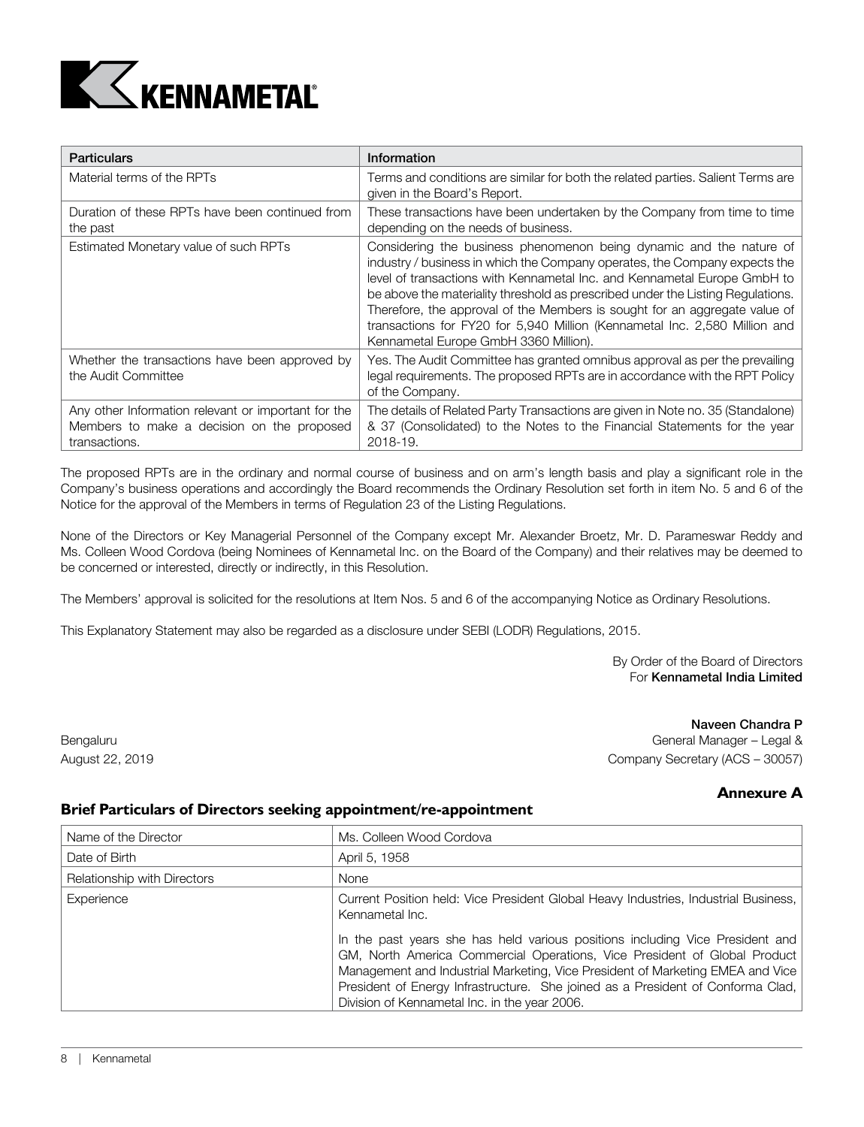

| <b>Particulars</b>                                                                                                 | Information                                                                                                                                                                                                                                                                                                                                                                                                                                                                                                           |
|--------------------------------------------------------------------------------------------------------------------|-----------------------------------------------------------------------------------------------------------------------------------------------------------------------------------------------------------------------------------------------------------------------------------------------------------------------------------------------------------------------------------------------------------------------------------------------------------------------------------------------------------------------|
| Material terms of the RPTs                                                                                         | Terms and conditions are similar for both the related parties. Salient Terms are<br>given in the Board's Report.                                                                                                                                                                                                                                                                                                                                                                                                      |
| Duration of these RPTs have been continued from<br>the past                                                        | These transactions have been undertaken by the Company from time to time<br>depending on the needs of business.                                                                                                                                                                                                                                                                                                                                                                                                       |
| Estimated Monetary value of such RPTs                                                                              | Considering the business phenomenon being dynamic and the nature of<br>industry / business in which the Company operates, the Company expects the<br>level of transactions with Kennametal Inc. and Kennametal Europe GmbH to<br>be above the materiality threshold as prescribed under the Listing Regulations.<br>Therefore, the approval of the Members is sought for an aggregate value of<br>transactions for FY20 for 5,940 Million (Kennametal Inc. 2,580 Million and<br>Kennametal Europe GmbH 3360 Million). |
| Whether the transactions have been approved by<br>the Audit Committee                                              | Yes. The Audit Committee has granted omnibus approval as per the prevailing<br>legal requirements. The proposed RPTs are in accordance with the RPT Policy<br>of the Company.                                                                                                                                                                                                                                                                                                                                         |
| Any other Information relevant or important for the<br>Members to make a decision on the proposed<br>transactions. | The details of Related Party Transactions are given in Note no. 35 (Standalone)<br>& 37 (Consolidated) to the Notes to the Financial Statements for the year<br>2018-19.                                                                                                                                                                                                                                                                                                                                              |

The proposed RPTs are in the ordinary and normal course of business and on arm's length basis and play a significant role in the Company's business operations and accordingly the Board recommends the Ordinary Resolution set forth in item No. 5 and 6 of the Notice for the approval of the Members in terms of Regulation 23 of the Listing Regulations.

None of the Directors or Key Managerial Personnel of the Company except Mr. Alexander Broetz, Mr. D. Parameswar Reddy and Ms. Colleen Wood Cordova (being Nominees of Kennametal Inc. on the Board of the Company) and their relatives may be deemed to be concerned or interested, directly or indirectly, in this Resolution.

The Members' approval is solicited for the resolutions at Item Nos. 5 and 6 of the accompanying Notice as Ordinary Resolutions.

This Explanatory Statement may also be regarded as a disclosure under SEBI (LODR) Regulations, 2015.

 By Order of the Board of Directors For Kennametal India Limited

 Naveen Chandra P Bengaluru General Manager – Legal & Contract Contract Contract Contract Contract Contract Contract Contract Contract Contract Contract Contract Contract Contract Contract Contract Contract Contract Contract Contract Contra August 22, 2019 Company Secretary (ACS – 30057)

# **Annexure A**

## **Brief Particulars of Directors seeking appointment/re-appointment**

| Name of the Director        | Ms. Colleen Wood Cordova                                                                                                                                                                                                                                                                                                                                                         |
|-----------------------------|----------------------------------------------------------------------------------------------------------------------------------------------------------------------------------------------------------------------------------------------------------------------------------------------------------------------------------------------------------------------------------|
| Date of Birth               | April 5, 1958                                                                                                                                                                                                                                                                                                                                                                    |
| Relationship with Directors | None                                                                                                                                                                                                                                                                                                                                                                             |
| Experience                  | Current Position held: Vice President Global Heavy Industries, Industrial Business,<br>Kennametal Inc.                                                                                                                                                                                                                                                                           |
|                             | In the past years she has held various positions including Vice President and<br>GM, North America Commercial Operations, Vice President of Global Product<br>Management and Industrial Marketing, Vice President of Marketing EMEA and Vice<br>President of Energy Infrastructure. She joined as a President of Conforma Clad,<br>Division of Kennametal Inc. in the year 2006. |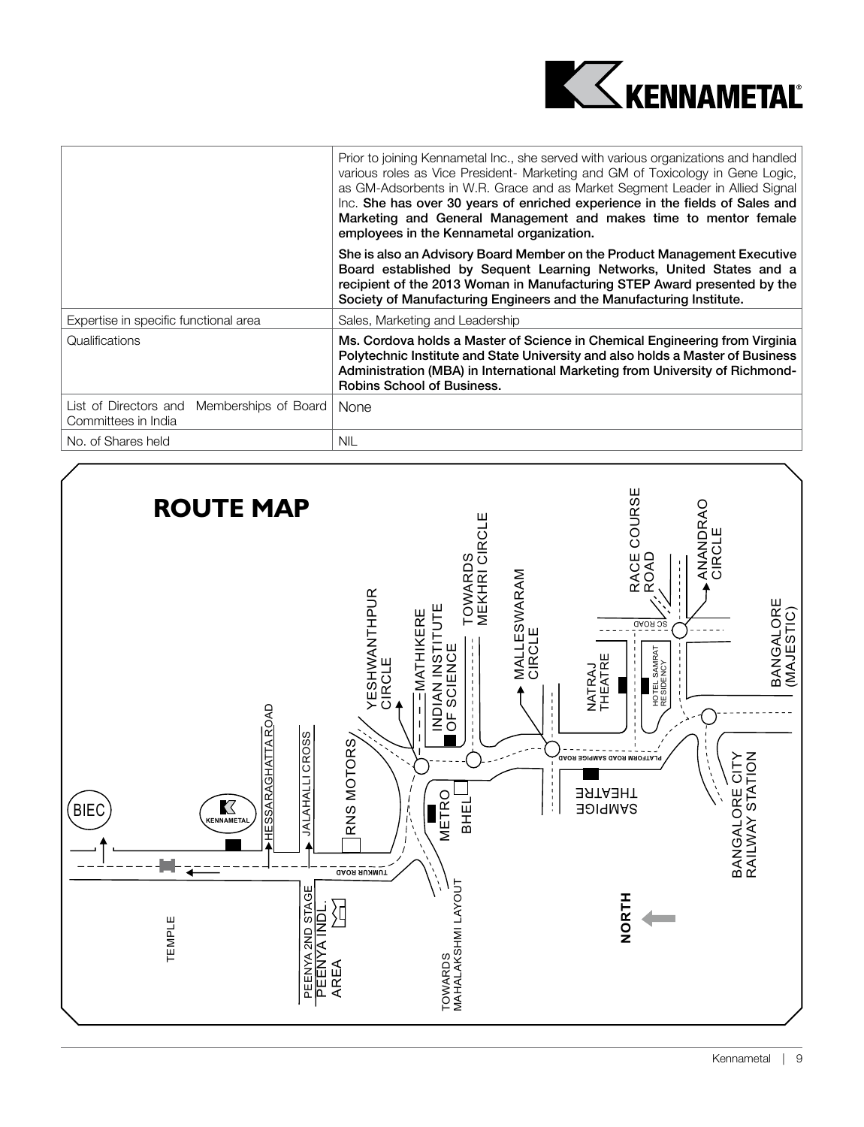

|                                                                   | Prior to joining Kennametal Inc., she served with various organizations and handled<br>various roles as Vice President- Marketing and GM of Toxicology in Gene Logic,<br>as GM-Adsorbents in W.R. Grace and as Market Segment Leader in Allied Signal<br>Inc. She has over 30 years of enriched experience in the fields of Sales and<br>Marketing and General Management and makes time to mentor female<br>employees in the Kennametal organization. |  |  |
|-------------------------------------------------------------------|--------------------------------------------------------------------------------------------------------------------------------------------------------------------------------------------------------------------------------------------------------------------------------------------------------------------------------------------------------------------------------------------------------------------------------------------------------|--|--|
|                                                                   | She is also an Advisory Board Member on the Product Management Executive<br>Board established by Sequent Learning Networks, United States and a<br>recipient of the 2013 Woman in Manufacturing STEP Award presented by the<br>Society of Manufacturing Engineers and the Manufacturing Institute.                                                                                                                                                     |  |  |
| Expertise in specific functional area                             | Sales, Marketing and Leadership                                                                                                                                                                                                                                                                                                                                                                                                                        |  |  |
| Qualifications                                                    | Ms. Cordova holds a Master of Science in Chemical Engineering from Virginia<br>Polytechnic Institute and State University and also holds a Master of Business<br>Administration (MBA) in International Marketing from University of Richmond-<br><b>Robins School of Business.</b>                                                                                                                                                                     |  |  |
| List of Directors and Memberships of Board<br>Committees in India | <b>None</b>                                                                                                                                                                                                                                                                                                                                                                                                                                            |  |  |
| No. of Shares held                                                | <b>NIL</b>                                                                                                                                                                                                                                                                                                                                                                                                                                             |  |  |

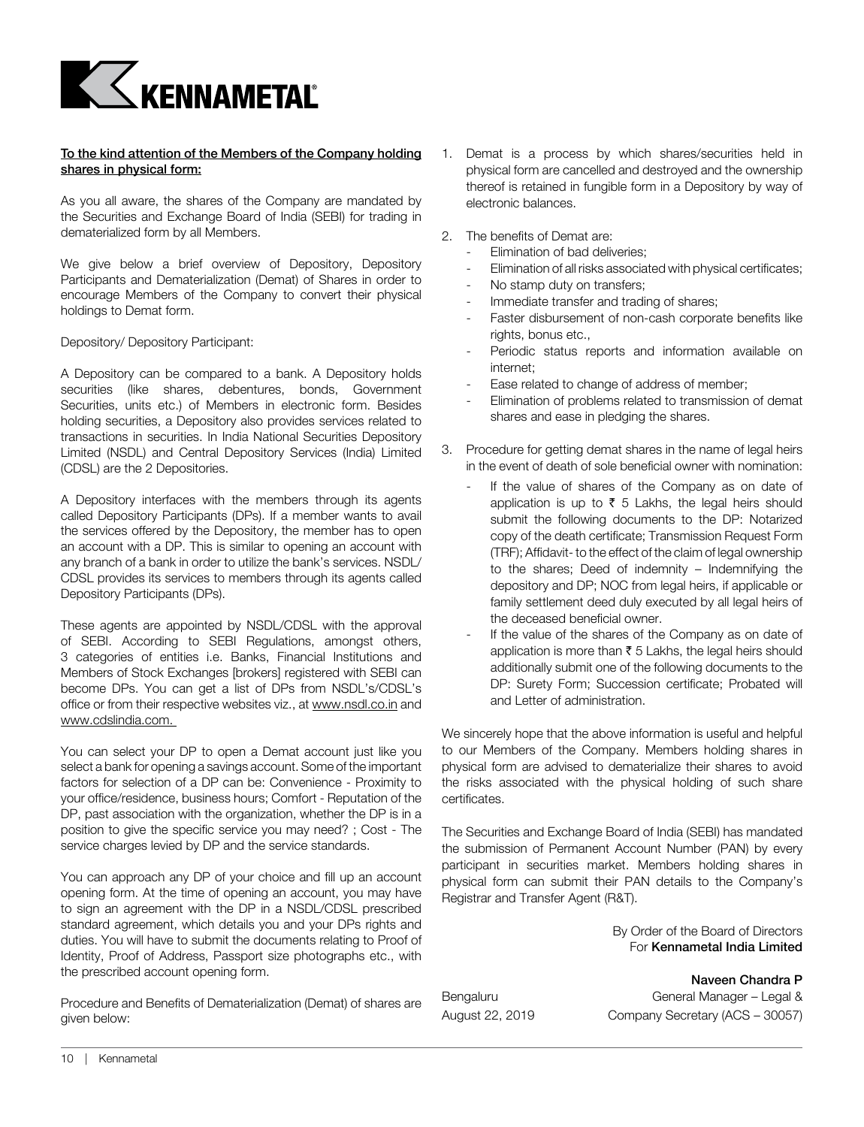

#### To the kind attention of the Members of the Company holding shares in physical form:

As you all aware, the shares of the Company are mandated by the Securities and Exchange Board of India (SEBI) for trading in dematerialized form by all Members.

We give below a brief overview of Depository, Depository Participants and Dematerialization (Demat) of Shares in order to encourage Members of the Company to convert their physical holdings to Demat form.

Depository/ Depository Participant:

A Depository can be compared to a bank. A Depository holds securities (like shares, debentures, bonds, Government Securities, units etc.) of Members in electronic form. Besides holding securities, a Depository also provides services related to transactions in securities. In India National Securities Depository Limited (NSDL) and Central Depository Services (India) Limited (CDSL) are the 2 Depositories.

A Depository interfaces with the members through its agents called Depository Participants (DPs). If a member wants to avail the services offered by the Depository, the member has to open an account with a DP. This is similar to opening an account with any branch of a bank in order to utilize the bank's services. NSDL/ CDSL provides its services to members through its agents called Depository Participants (DPs).

These agents are appointed by NSDL/CDSL with the approval of SEBI. According to SEBI Regulations, amongst others, 3 categories of entities i.e. Banks, Financial Institutions and Members of Stock Exchanges [brokers] registered with SEBI can become DPs. You can get a list of DPs from NSDL's/CDSL's office or from their respective websites viz., at www.nsdl.co.in and www.cdslindia.com.

You can select your DP to open a Demat account just like you select a bank for opening a savings account. Some of the important factors for selection of a DP can be: Convenience - Proximity to your office/residence, business hours; Comfort - Reputation of the DP, past association with the organization, whether the DP is in a position to give the specific service you may need? ; Cost - The service charges levied by DP and the service standards.

You can approach any DP of your choice and fill up an account opening form. At the time of opening an account, you may have to sign an agreement with the DP in a NSDL/CDSL prescribed standard agreement, which details you and your DPs rights and duties. You will have to submit the documents relating to Proof of Identity, Proof of Address, Passport size photographs etc., with the prescribed account opening form.

Procedure and Benefits of Dematerialization (Demat) of shares are given below:

- 1. Demat is a process by which shares/securities held in physical form are cancelled and destroyed and the ownership thereof is retained in fungible form in a Depository by way of electronic balances.
- 2. The benefits of Demat are:
	- Elimination of bad deliveries:
	- Elimination of all risks associated with physical certificates;
	- No stamp duty on transfers;
	- Immediate transfer and trading of shares;
	- Faster disbursement of non-cash corporate benefits like rights, bonus etc.,
	- Periodic status reports and information available on internet;
	- Ease related to change of address of member;
	- Elimination of problems related to transmission of demat shares and ease in pledging the shares.
- 3. Procedure for getting demat shares in the name of legal heirs in the event of death of sole beneficial owner with nomination:
	- If the value of shares of the Company as on date of application is up to  $\bar{\tau}$  5 Lakhs, the legal heirs should submit the following documents to the DP: Notarized copy of the death certificate; Transmission Request Form (TRF); Affidavit- to the effect of the claim of legal ownership to the shares; Deed of indemnity – Indemnifying the depository and DP; NOC from legal heirs, if applicable or family settlement deed duly executed by all legal heirs of the deceased beneficial owner.
	- If the value of the shares of the Company as on date of application is more than  $\bar{\tau}$  5 Lakhs, the legal heirs should additionally submit one of the following documents to the DP: Surety Form; Succession certificate; Probated will and Letter of administration.

We sincerely hope that the above information is useful and helpful to our Members of the Company. Members holding shares in physical form are advised to dematerialize their shares to avoid the risks associated with the physical holding of such share certificates.

The Securities and Exchange Board of India (SEBI) has mandated the submission of Permanent Account Number (PAN) by every participant in securities market. Members holding shares in physical form can submit their PAN details to the Company's Registrar and Transfer Agent (R&T).

> By Order of the Board of Directors For Kennametal India Limited

 Naveen Chandra P Bengaluru General Manager – Legal & August 22, 2019 Company Secretary (ACS – 30057)